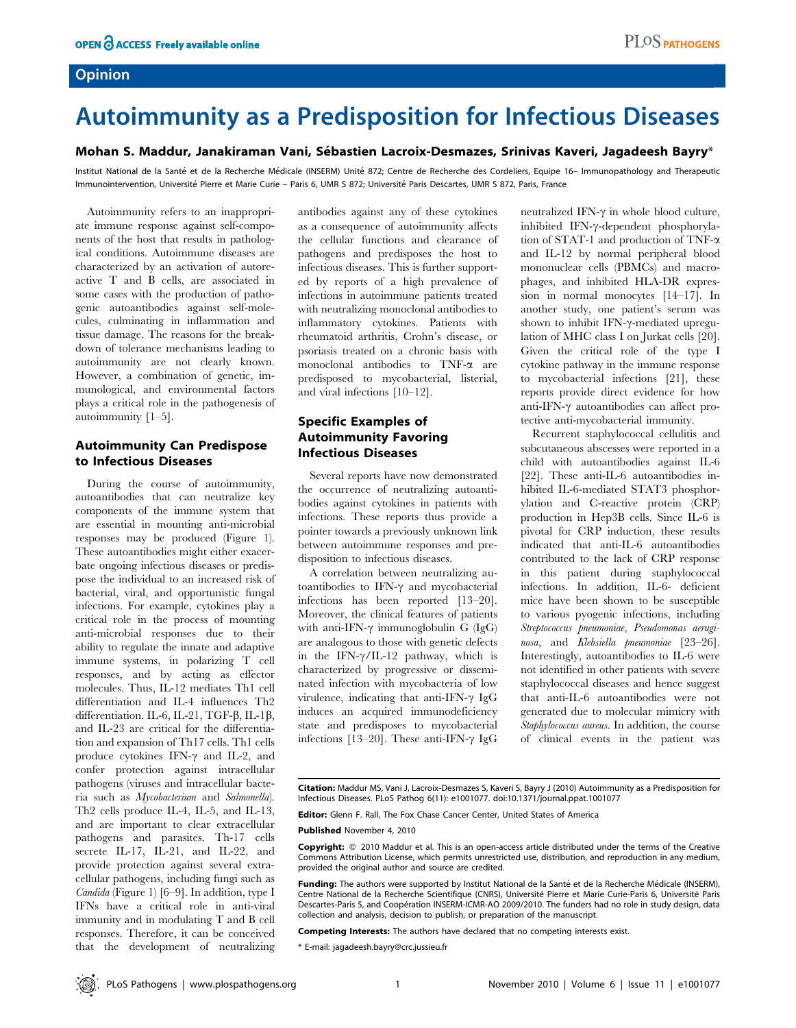## Opinion

# Autoimmunity as a Predisposition for Infectious Diseases

#### Mohan S. Maddur, Janakiraman Vani, Sébastien Lacroix-Desmazes, Srinivas Kaveri, Jagadeesh Bayry\*

Institut National de la Santé et de la Recherche Médicale (INSERM) Unité 872; Centre de Recherche des Cordeliers, Equipe 16- Immunopathology and Therapeutic Immunointervention, Université Pierre et Marie Curie – Paris 6, UMR S 872; Université Paris Descartes, UMR S 872, Paris, France

Autoimmunity refers to an inappropriate immune response against self-components of the host that results in pathological conditions. Autoimmune diseases are characterized by an activation of autoreactive T and B cells, are associated in some cases with the production of pathogenic autoantibodies against self-molecules, culminating in inflammation and tissue damage. The reasons for the breakdown of tolerance mechanisms leading to autoimmunity are not clearly known. However, a combination of genetic, immunological, and environmental factors plays a critical role in the pathogenesis of autoimmunity [1–5].

## Autoimmunity Can Predispose to Infectious Diseases

During the course of autoimmunity, autoantibodies that can neutralize key components of the immune system that are essential in mounting anti-microbial responses may be produced (Figure 1). These autoantibodies might either exacerbate ongoing infectious diseases or predispose the individual to an increased risk of bacterial, viral, and opportunistic fungal infections. For example, cytokines play a critical role in the process of mounting anti-microbial responses due to their ability to regulate the innate and adaptive immune systems, in polarizing T cell responses, and by acting as effector molecules. Thus, IL-12 mediates Th1 cell differentiation and IL-4 influences Th2 differentiation. IL-6, IL-21, TGF- $\beta$ , IL-1 $\beta$ , and IL-23 are critical for the differentiation and expansion of Th17 cells. Th1 cells produce cytokines IFN- $\gamma$  and IL-2, and confer protection against intracellular pathogens (viruses and intracellular bacteria such as Mycobacterium and Salmonella). Th2 cells produce IL-4, IL-5, and IL-13, and are important to clear extracellular pathogens and parasites. Th-17 cells secrete IL-17, IL-21, and IL-22, and provide protection against several extracellular pathogens, including fungi such as Candida (Figure 1) [6–9]. In addition, type I IFNs have a critical role in anti-viral immunity and in modulating T and B cell responses. Therefore, it can be conceived that the development of neutralizing antibodies against any of these cytokines as a consequence of autoimmunity affects the cellular functions and clearance of pathogens and predisposes the host to infectious diseases. This is further supported by reports of a high prevalence of infections in autoimmune patients treated with neutralizing monoclonal antibodies to inflammatory cytokines. Patients with rheumatoid arthritis, Crohn's disease, or psoriasis treated on a chronic basis with monoclonal antibodies to TNF-a are predisposed to mycobacterial, listerial, and viral infections [10–12].

## Specific Examples of Autoimmunity Favoring Infectious Diseases

Several reports have now demonstrated the occurrence of neutralizing autoantibodies against cytokines in patients with infections. These reports thus provide a pointer towards a previously unknown link between autoimmune responses and predisposition to infectious diseases.

A correlation between neutralizing autoantibodies to IFN- $\gamma$  and mycobacterial infections has been reported [13–20]. Moreover, the clinical features of patients with anti-IFN- $\gamma$  immunoglobulin G (IgG) are analogous to those with genetic defects in the IFN- $\gamma$ /IL-12 pathway, which is characterized by progressive or disseminated infection with mycobacteria of low virulence, indicating that anti-IFN- $\gamma$  IgG induces an acquired immunodeficiency state and predisposes to mycobacterial infections [13–20]. These anti-IFN- $\gamma$  IgG

neutralized IFN- $\gamma$  in whole blood culture, inhibited IFN- $\gamma$ -dependent phosphorylation of STAT-1 and production of TNF-a and IL-12 by normal peripheral blood mononuclear cells (PBMCs) and macrophages, and inhibited HLA-DR expression in normal monocytes [14–17]. In another study, one patient's serum was shown to inhibit IFN- $\gamma$ -mediated upregulation of MHC class I on Jurkat cells [20]. Given the critical role of the type I cytokine pathway in the immune response to mycobacterial infections [21], these reports provide direct evidence for how anti-IFN- $\gamma$  autoantibodies can affect protective anti-mycobacterial immunity.

Recurrent staphylococcal cellulitis and subcutaneous abscesses were reported in a child with autoantibodies against IL-6 [22]. These anti-IL-6 autoantibodies inhibited IL-6-mediated STAT3 phosphorylation and C-reactive protein (CRP) production in Hep3B cells. Since IL-6 is pivotal for CRP induction, these results indicated that anti-IL-6 autoantibodies contributed to the lack of CRP response in this patient during staphylococcal infections. In addition, IL-6- deficient mice have been shown to be susceptible to various pyogenic infections, including Streptococcus pneumoniae, Pseudomonas aeruginosa, and Klebsiella pneumoniae [23–26]. Interestingly, autoantibodies to IL-6 were not identified in other patients with severe staphylococcal diseases and hence suggest that anti-IL-6 autoantibodies were not generated due to molecular mimicry with Staphylococcus aureus. In addition, the course of clinical events in the patient was

Editor: Glenn F. Rall, The Fox Chase Cancer Center, United States of America

Published November 4, 2010

Copyright: © 2010 Maddur et al. This is an open-access article distributed under the terms of the Creative Commons Attribution License, which permits unrestricted use, distribution, and reproduction in any medium, provided the original author and source are credited.

Funding: The authors were supported by Institut National de la Santé et de la Recherche Médicale (INSERM), Centre National de la Recherche Scientifique (CNRS), Université Pierre et Marie Curie-Paris 6, Université Paris Descartes-Paris 5, and Coopération INSERM-ICMR-AO 2009/2010. The funders had no role in study design, data collection and analysis, decision to publish, or preparation of the manuscript.

Competing Interests: The authors have declared that no competing interests exist.

\* E-mail: jagadeesh.bayry@crc.jussieu.fr

Citation: Maddur MS, Vani J, Lacroix-Desmazes S, Kaveri S, Bayry J (2010) Autoimmunity as a Predisposition for Infectious Diseases. PLoS Pathog 6(11): e1001077. doi:10.1371/journal.ppat.1001077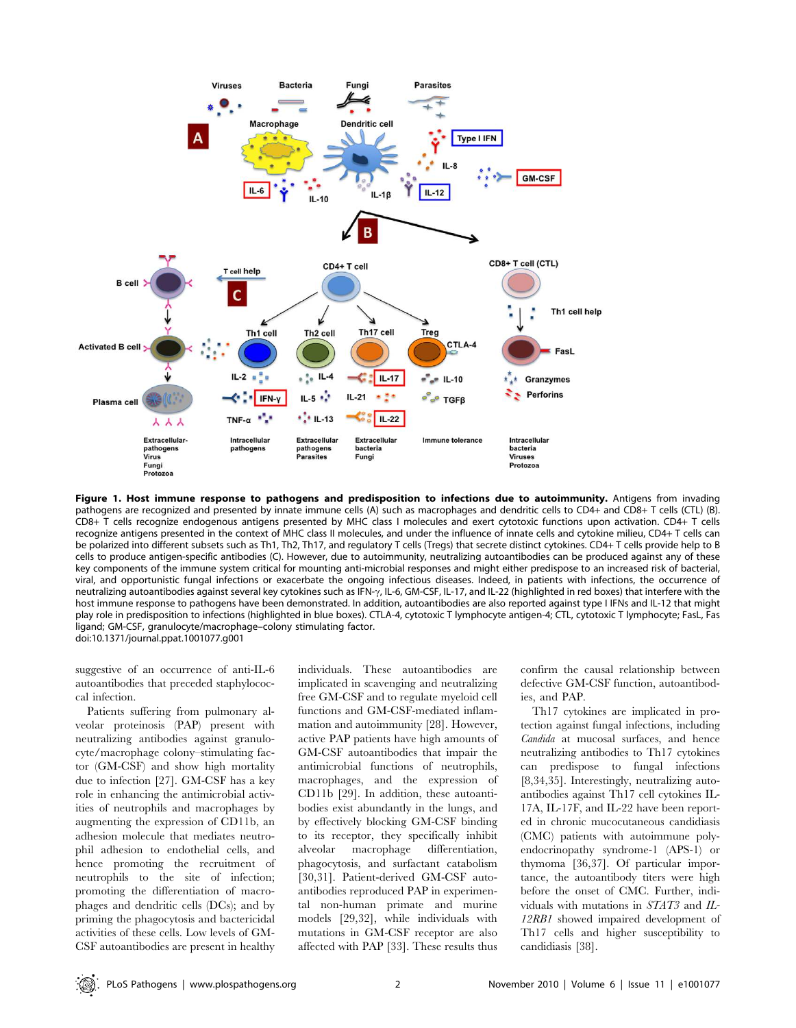

Figure 1. Host immune response to pathogens and predisposition to infections due to autoimmunity. Antigens from invading pathogens are recognized and presented by innate immune cells (A) such as macrophages and dendritic cells to CD4+ and CD8+ T cells (CTL) (B). CD8+ T cells recognize endogenous antigens presented by MHC class I molecules and exert cytotoxic functions upon activation. CD4+ T cells recognize antigens presented in the context of MHC class II molecules, and under the influence of innate cells and cytokine milieu, CD4+ T cells can be polarized into different subsets such as Th1, Th2, Th17, and regulatory T cells (Tregs) that secrete distinct cytokines. CD4+ T cells provide help to B cells to produce antigen-specific antibodies (C). However, due to autoimmunity, neutralizing autoantibodies can be produced against any of these key components of the immune system critical for mounting anti-microbial responses and might either predispose to an increased risk of bacterial, viral, and opportunistic fungal infections or exacerbate the ongoing infectious diseases. Indeed, in patients with infections, the occurrence of neutralizing autoantibodies against several key cytokines such as IFN- $\gamma$ , IL-6, GM-CSF, IL-17, and IL-22 (highlighted in red boxes) that interfere with the host immune response to pathogens have been demonstrated. In addition, autoantibodies are also reported against type I IFNs and IL-12 that might play role in predisposition to infections (highlighted in blue boxes). CTLA-4, cytotoxic T lymphocyte antigen-4; CTL, cytotoxic T lymphocyte; FasL, Fas ligand; GM-CSF, granulocyte/macrophage–colony stimulating factor. doi:10.1371/journal.ppat.1001077.g001

suggestive of an occurrence of anti-IL-6 autoantibodies that preceded staphylococcal infection.

Patients suffering from pulmonary alveolar proteinosis (PAP) present with neutralizing antibodies against granulocyte/macrophage colony–stimulating factor (GM-CSF) and show high mortality due to infection [27]. GM-CSF has a key role in enhancing the antimicrobial activities of neutrophils and macrophages by augmenting the expression of CD11b, an adhesion molecule that mediates neutrophil adhesion to endothelial cells, and hence promoting the recruitment of neutrophils to the site of infection; promoting the differentiation of macrophages and dendritic cells (DCs); and by priming the phagocytosis and bactericidal activities of these cells. Low levels of GM-CSF autoantibodies are present in healthy individuals. These autoantibodies are implicated in scavenging and neutralizing free GM-CSF and to regulate myeloid cell functions and GM-CSF-mediated inflammation and autoimmunity [28]. However, active PAP patients have high amounts of GM-CSF autoantibodies that impair the antimicrobial functions of neutrophils, macrophages, and the expression of CD11b [29]. In addition, these autoantibodies exist abundantly in the lungs, and by effectively blocking GM-CSF binding to its receptor, they specifically inhibit alveolar macrophage differentiation, phagocytosis, and surfactant catabolism [30,31]. Patient-derived GM-CSF autoantibodies reproduced PAP in experimental non-human primate and murine models [29,32], while individuals with mutations in GM-CSF receptor are also affected with PAP [33]. These results thus

confirm the causal relationship between defective GM-CSF function, autoantibodies, and PAP.

Th17 cytokines are implicated in protection against fungal infections, including Candida at mucosal surfaces, and hence neutralizing antibodies to Th17 cytokines can predispose to fungal infections [8,34,35]. Interestingly, neutralizing autoantibodies against Th17 cell cytokines IL-17A, IL-17F, and IL-22 have been reported in chronic mucocutaneous candidiasis (CMC) patients with autoimmune polyendocrinopathy syndrome-1 (APS-1) or thymoma [36,37]. Of particular importance, the autoantibody titers were high before the onset of CMC. Further, individuals with mutations in STAT3 and IL-12RB1 showed impaired development of Th17 cells and higher susceptibility to candidiasis [38].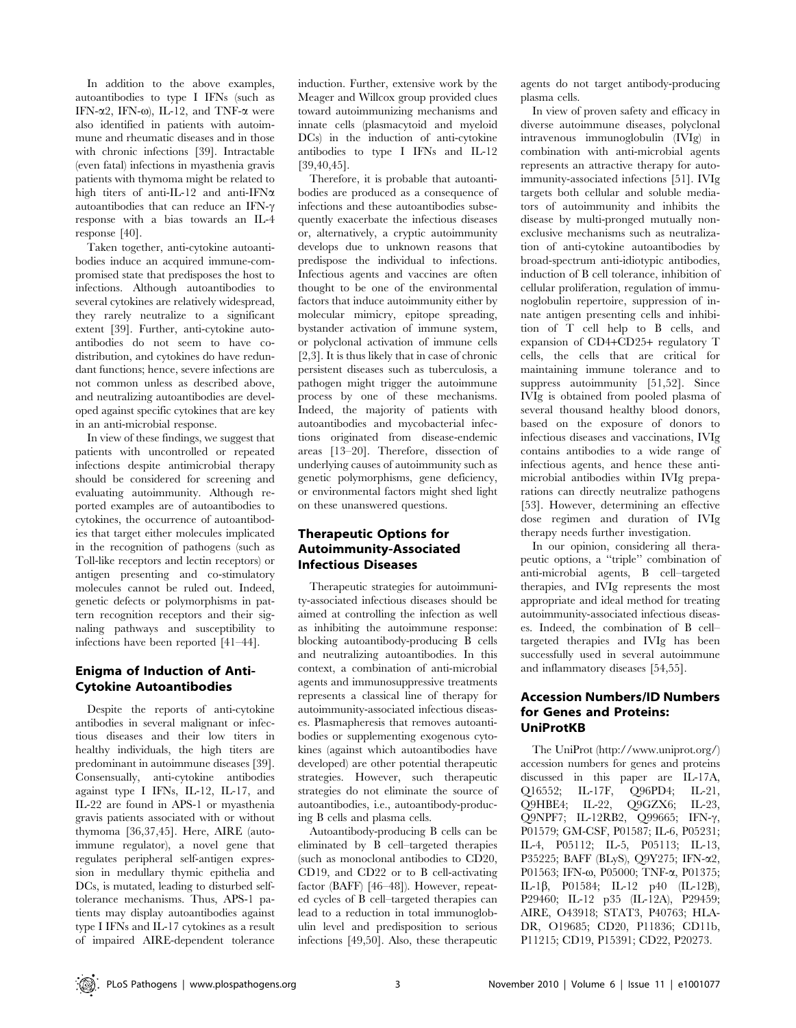In addition to the above examples, autoantibodies to type I IFNs (such as IFN- $\alpha$ 2, IFN- $\omega$ ), IL-12, and TNF- $\alpha$  were also identified in patients with autoimmune and rheumatic diseases and in those with chronic infections [39]. Intractable (even fatal) infections in myasthenia gravis patients with thymoma might be related to high titers of anti-IL-12 and anti-IFN $\alpha$ autoantibodies that can reduce an IFN- $\gamma$ response with a bias towards an IL-4 response [40].

Taken together, anti-cytokine autoantibodies induce an acquired immune-compromised state that predisposes the host to infections. Although autoantibodies to several cytokines are relatively widespread, they rarely neutralize to a significant extent [39]. Further, anti-cytokine autoantibodies do not seem to have codistribution, and cytokines do have redundant functions; hence, severe infections are not common unless as described above, and neutralizing autoantibodies are developed against specific cytokines that are key in an anti-microbial response.

In view of these findings, we suggest that patients with uncontrolled or repeated infections despite antimicrobial therapy should be considered for screening and evaluating autoimmunity. Although reported examples are of autoantibodies to cytokines, the occurrence of autoantibodies that target either molecules implicated in the recognition of pathogens (such as Toll-like receptors and lectin receptors) or antigen presenting and co-stimulatory molecules cannot be ruled out. Indeed, genetic defects or polymorphisms in pattern recognition receptors and their signaling pathways and susceptibility to infections have been reported [41–44].

## Enigma of Induction of Anti-Cytokine Autoantibodies

Despite the reports of anti-cytokine antibodies in several malignant or infectious diseases and their low titers in healthy individuals, the high titers are predominant in autoimmune diseases [39]. Consensually, anti-cytokine antibodies against type I IFNs, IL-12, IL-17, and IL-22 are found in APS-1 or myasthenia gravis patients associated with or without thymoma [36,37,45]. Here, AIRE (autoimmune regulator), a novel gene that regulates peripheral self-antigen expression in medullary thymic epithelia and DCs, is mutated, leading to disturbed selftolerance mechanisms. Thus, APS-1 patients may display autoantibodies against type I IFNs and IL-17 cytokines as a result of impaired AIRE-dependent tolerance induction. Further, extensive work by the Meager and Willcox group provided clues toward autoimmunizing mechanisms and innate cells (plasmacytoid and myeloid DCs) in the induction of anti-cytokine antibodies to type I IFNs and IL-12 [39,40,45].

Therefore, it is probable that autoantibodies are produced as a consequence of infections and these autoantibodies subsequently exacerbate the infectious diseases or, alternatively, a cryptic autoimmunity develops due to unknown reasons that predispose the individual to infections. Infectious agents and vaccines are often thought to be one of the environmental factors that induce autoimmunity either by molecular mimicry, epitope spreading, bystander activation of immune system, or polyclonal activation of immune cells [2,3]. It is thus likely that in case of chronic persistent diseases such as tuberculosis, a pathogen might trigger the autoimmune process by one of these mechanisms. Indeed, the majority of patients with autoantibodies and mycobacterial infections originated from disease-endemic areas [13–20]. Therefore, dissection of underlying causes of autoimmunity such as genetic polymorphisms, gene deficiency, or environmental factors might shed light on these unanswered questions.

## Therapeutic Options for Autoimmunity-Associated Infectious Diseases

Therapeutic strategies for autoimmunity-associated infectious diseases should be aimed at controlling the infection as well as inhibiting the autoimmune response: blocking autoantibody-producing B cells and neutralizing autoantibodies. In this context, a combination of anti-microbial agents and immunosuppressive treatments represents a classical line of therapy for autoimmunity-associated infectious diseases. Plasmapheresis that removes autoantibodies or supplementing exogenous cytokines (against which autoantibodies have developed) are other potential therapeutic strategies. However, such therapeutic strategies do not eliminate the source of autoantibodies, i.e., autoantibody-producing B cells and plasma cells.

Autoantibody-producing B cells can be eliminated by B cell–targeted therapies (such as monoclonal antibodies to CD20, CD19, and CD22 or to B cell-activating factor (BAFF) [46–48]). However, repeated cycles of B cell–targeted therapies can lead to a reduction in total immunoglobulin level and predisposition to serious infections [49,50]. Also, these therapeutic agents do not target antibody-producing plasma cells.

In view of proven safety and efficacy in diverse autoimmune diseases, polyclonal intravenous immunoglobulin (IVIg) in combination with anti-microbial agents represents an attractive therapy for autoimmunity-associated infections [51]. IVIg targets both cellular and soluble mediators of autoimmunity and inhibits the disease by multi-pronged mutually nonexclusive mechanisms such as neutralization of anti-cytokine autoantibodies by broad-spectrum anti-idiotypic antibodies, induction of B cell tolerance, inhibition of cellular proliferation, regulation of immunoglobulin repertoire, suppression of innate antigen presenting cells and inhibition of T cell help to B cells, and expansion of CD4+CD25+ regulatory T cells, the cells that are critical for maintaining immune tolerance and to suppress autoimmunity [51,52]. Since IVIg is obtained from pooled plasma of several thousand healthy blood donors, based on the exposure of donors to infectious diseases and vaccinations, IVIg contains antibodies to a wide range of infectious agents, and hence these antimicrobial antibodies within IVIg preparations can directly neutralize pathogens [53]. However, determining an effective dose regimen and duration of IVIg therapy needs further investigation.

In our opinion, considering all therapeutic options, a ''triple'' combination of anti-microbial agents, B cell–targeted therapies, and IVIg represents the most appropriate and ideal method for treating autoimmunity-associated infectious diseases. Indeed, the combination of B cell– targeted therapies and IVIg has been successfully used in several autoimmune and inflammatory diseases [54,55].

#### Accession Numbers/ID Numbers for Genes and Proteins: UniProtKB

The UniProt (http://www.uniprot.org/) accession numbers for genes and proteins discussed in this paper are IL-17A, Q16552; IL-17F, Q96PD4; IL-21, Q9HBE4; IL-22, Q9GZX6; IL-23, O9NPF7; IL-12RB2, O99665; IFN-γ, P01579; GM-CSF, P01587; IL-6, P05231; IL-4, P05112; IL-5, P05113; IL-13, P35225; BAFF (BLyS), Q9Y275; IFN-a2, P01563; IFN-ω, P05000; TNF-α, P01375; IL-1b, P01584; IL-12 p40 (IL-12B), P29460; IL-12 p35 (IL-12A), P29459; AIRE, O43918; STAT3, P40763; HLA-DR, O19685; CD20, P11836; CD11b, P11215; CD19, P15391; CD22, P20273.